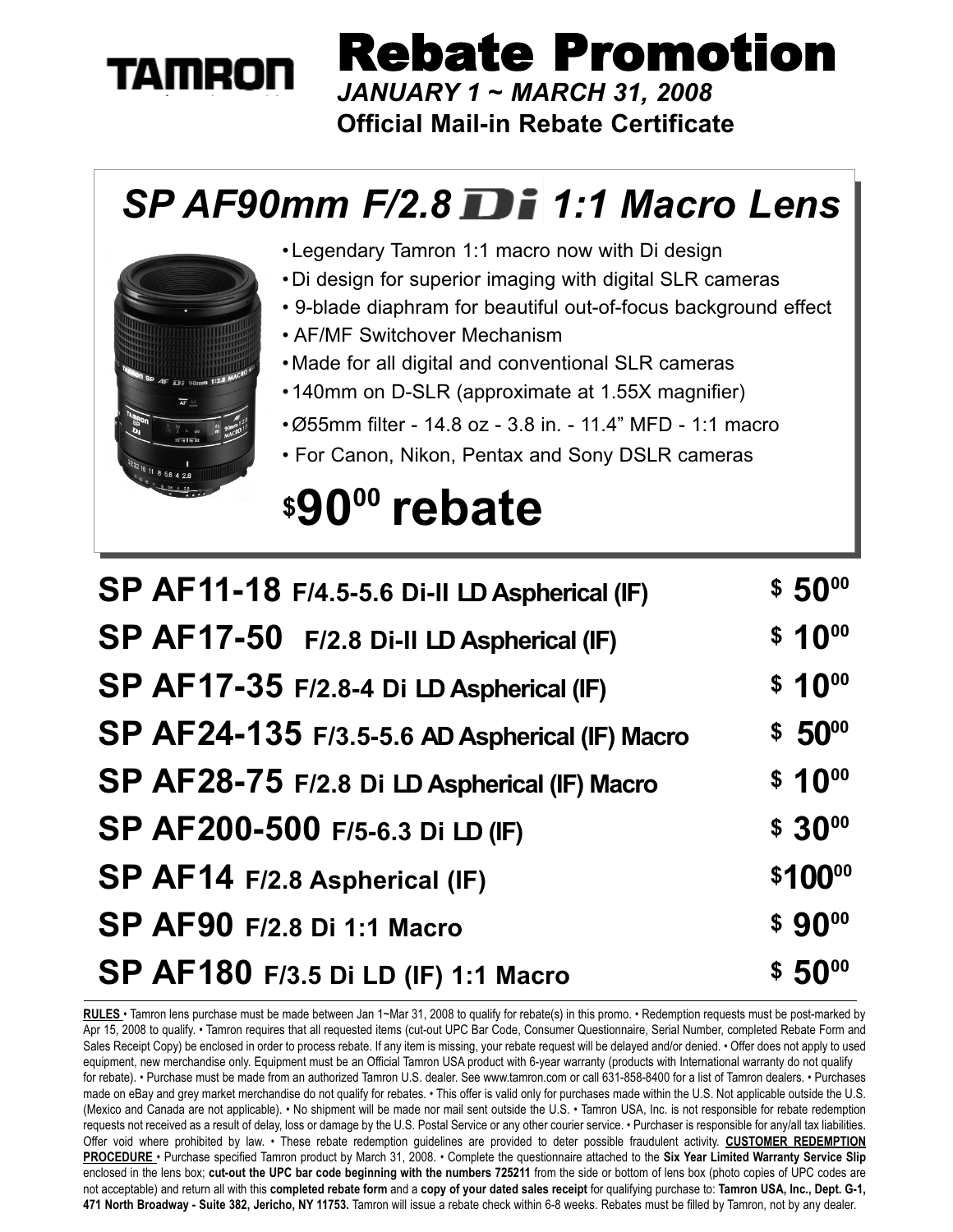# **TAMRON**

Rebate Promotion

*JANUARY 1 ~ MARCH 31, 2008* **Official Mail-in Rebate Certificate**

### *SP AF90mm F/2.8 1:1 Macro Lens*



•Legendary Tamron 1:1 macro now with Di design

- •Di design for superior imaging with digital SLR cameras
- 9-blade diaphram for beautiful out-of-focus background effect
- AF/MF Switchover Mechanism
- •Made for all digital and conventional SLR cameras
- •140mm on D-SLR (approximate at 1.55X magnifier)
- •Ø55mm filter 14.8 oz 3.8 in. 11.4" MFD 1:1 macro
- For Canon, Nikon, Pentax and Sony DSLR cameras

## **\$9000 rebate**

| SP AF11-18 F/4.5-5.6 Di-II LD Aspherical (IF)  | $$50^{00}$         |
|------------------------------------------------|--------------------|
| SP AF17-50 F/2.8 Di-II LD Aspherical (IF)      | $$10^{00}$         |
| SP AF17-35 F/2.8-4 Di LD Aspherical (IF)       | $$10^{00}$         |
| SP AF24-135 F/3.5-5.6 AD Aspherical (IF) Macro | \$50 <sup>00</sup> |
| SP AF28-75 F/2.8 Di LD Aspherical (IF) Macro   | $$10^{00}$         |
| SP AF200-500 F/5-6.3 Di LD (IF)                | $$30^{00}$         |
| SP AF14 F/2.8 Aspherical (IF)                  | \$10000            |
| <b>SP AF90 F/2.8 Di 1:1 Macro</b>              | $$90^{00}$         |
| SP AF180 F/3.5 Di LD (IF) 1:1 Macro            | $$50^{00}$         |

**RULES** • Tamron lens purchase must be made between Jan 1~Mar 31, 2008 to qualify for rebate(s) in this promo. • Redemption requests must be post-marked by Apr 15, 2008 to qualify. • Tamron requires that all requested items (cut-out UPC Bar Code, Consumer Questionnaire, Serial Number, completed Rebate Form and Sales Receipt Copy) be enclosed in order to process rebate. If any item is missing, your rebate request will be delayed and/or denied. • Offer does not apply to used equipment, new merchandise only. Equipment must be an Official Tamron USA product with 6-year warranty (products with International warranty do not qualify for rebate). • Purchase must be made from an authorized Tamron U.S. dealer. See www.tamron.com or call 631-858-8400 for a list of Tamron dealers. • Purchases made on eBay and grey market merchandise do not qualify for rebates.  $\cdot$  This offer is valid only for purchases made within the U.S. Not applicable outside the U.S. (Mexico and Canada are not applicable). • No shipment will be made nor mail sent outside the U.S. • Tamron USA, Inc. is not responsible for rebate redemption requests not received as a result of delay, loss or damage by the U.S. Postal Service or any other courier service. • Purchaser is responsible for any/all tax liabilities. Offer void where prohibited by law. • These rebate redemption guidelines are provided to deter possible fraudulent activity. **CUSTOMER REDEMPTION PROCEDURE** • Purchase specified Tamron product by March 31, 2008. • Complete the questionnaire attached to the **Six Year Limited Warranty Service Slip** enclosed in the lens box; **cut-out the UPC bar code beginning with the numbers 725211** from the side or bottom of lens box (photo copies of UPC codes are not acceptable) and return all with this **completed rebate form** and a **copy of your dated sales receipt** for qualifying purchase to: **Tamron USA, Inc., Dept. G-1, 471 North Broadway - Suite 382, Jericho, NY 11753.** Tamron will issue a rebate check within 6-8 weeks. Rebates must be filled by Tamron, not by any dealer.